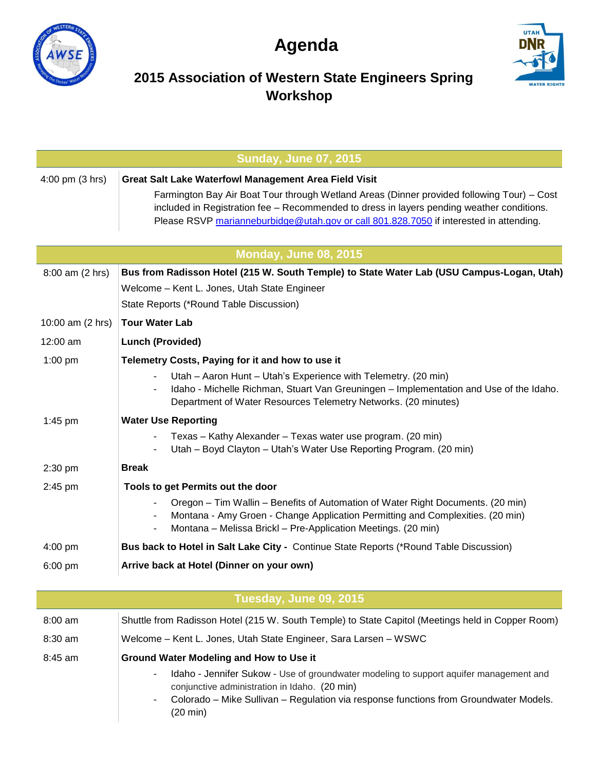

## **Agenda**



## **2015 Association of Western State Engineers Spring Workshop**

| <b>Sunday, June 07, 2015</b> |                                                                                                                                                                                                                                                                                   |  |
|------------------------------|-----------------------------------------------------------------------------------------------------------------------------------------------------------------------------------------------------------------------------------------------------------------------------------|--|
| 4:00 pm (3 hrs)              | <b>Great Salt Lake Waterfowl Management Area Field Visit</b>                                                                                                                                                                                                                      |  |
|                              | Farmington Bay Air Boat Tour through Wetland Areas (Dinner provided following Tour) – Cost<br>included in Registration fee - Recommended to dress in layers pending weather conditions.<br>Please RSVP marianneburbidge@utah.gov or call 801.828.7050 if interested in attending. |  |
| <b>Monday, June 08, 2015</b> |                                                                                                                                                                                                                                                                                   |  |
| 8:00 am (2 hrs)              | Bus from Radisson Hotel (215 W. South Temple) to State Water Lab (USU Campus-Logan, Utah)                                                                                                                                                                                         |  |
|                              | Welcome - Kent L. Jones, Utah State Engineer                                                                                                                                                                                                                                      |  |
|                              | State Reports (*Round Table Discussion)                                                                                                                                                                                                                                           |  |
| 10:00 am (2 hrs)             | <b>Tour Water Lab</b>                                                                                                                                                                                                                                                             |  |
| 12:00 am                     | <b>Lunch (Provided)</b>                                                                                                                                                                                                                                                           |  |
| $1:00$ pm                    | Telemetry Costs, Paying for it and how to use it                                                                                                                                                                                                                                  |  |
|                              | Utah - Aaron Hunt - Utah's Experience with Telemetry. (20 min)<br>Idaho - Michelle Richman, Stuart Van Greuningen - Implementation and Use of the Idaho.<br>Department of Water Resources Telemetry Networks. (20 minutes)                                                        |  |
| $1:45$ pm                    | <b>Water Use Reporting</b>                                                                                                                                                                                                                                                        |  |
|                              | Texas - Kathy Alexander - Texas water use program. (20 min)<br>Utah - Boyd Clayton - Utah's Water Use Reporting Program. (20 min)                                                                                                                                                 |  |
| 2:30 pm                      | <b>Break</b>                                                                                                                                                                                                                                                                      |  |
| 2:45 pm                      | Tools to get Permits out the door                                                                                                                                                                                                                                                 |  |
|                              | Oregon – Tim Wallin – Benefits of Automation of Water Right Documents. (20 min)<br>Montana - Amy Groen - Change Application Permitting and Complexities. (20 min)<br>Montana - Melissa Brickl - Pre-Application Meetings. (20 min)<br>$\overline{\phantom{a}}$                    |  |
| $4:00$ pm                    | Bus back to Hotel in Salt Lake City - Continue State Reports (*Round Table Discussion)                                                                                                                                                                                            |  |
| 6:00 pm                      | Arrive back at Hotel (Dinner on your own)                                                                                                                                                                                                                                         |  |
| Tuesday, June 09, 2015       |                                                                                                                                                                                                                                                                                   |  |
| $8:00$ am                    | Shuttle from Radisson Hotel (215 W. South Temple) to State Capitol (Meetings held in Copper Room)                                                                                                                                                                                 |  |
| 8:30 am                      | Welcome - Kent L. Jones, Utah State Engineer, Sara Larsen - WSWC                                                                                                                                                                                                                  |  |
| 8:45 am                      | Ground Water Modeling and How to Use it                                                                                                                                                                                                                                           |  |
|                              | Idaho - Jennifer Sukow - Use of groundwater modeling to support aquifer management and<br>conjunctive administration in Idaho. (20 min)<br>Colorado - Mike Sullivan - Regulation via response functions from Groundwater Models.<br>$(20 \text{ min})$                            |  |